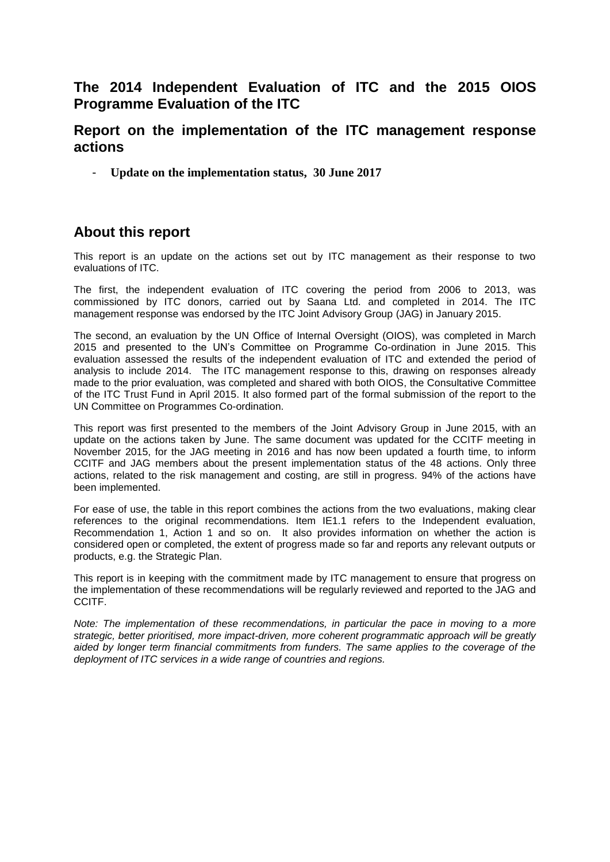# **The 2014 Independent Evaluation of ITC and the 2015 OIOS Programme Evaluation of the ITC**

# **Report on the implementation of the ITC management response actions**

- **Update on the implementation status, 30 June 2017**

# **About this report**

This report is an update on the actions set out by ITC management as their response to two evaluations of ITC.

The first, the independent evaluation of ITC covering the period from 2006 to 2013, was commissioned by ITC donors, carried out by Saana Ltd. and completed in 2014. The ITC management response was endorsed by the ITC Joint Advisory Group (JAG) in January 2015.

The second, an evaluation by the UN Office of Internal Oversight (OIOS), was completed in March 2015 and presented to the UN's Committee on Programme Co-ordination in June 2015. This evaluation assessed the results of the independent evaluation of ITC and extended the period of analysis to include 2014. The ITC management response to this, drawing on responses already made to the prior evaluation, was completed and shared with both OIOS, the Consultative Committee of the ITC Trust Fund in April 2015. It also formed part of the formal submission of the report to the UN Committee on Programmes Co-ordination.

This report was first presented to the members of the Joint Advisory Group in June 2015, with an update on the actions taken by June. The same document was updated for the CCITF meeting in November 2015, for the JAG meeting in 2016 and has now been updated a fourth time, to inform CCITF and JAG members about the present implementation status of the 48 actions. Only three actions, related to the risk management and costing, are still in progress. 94% of the actions have been implemented.

For ease of use, the table in this report combines the actions from the two evaluations, making clear references to the original recommendations. Item IE1.1 refers to the Independent evaluation, Recommendation 1, Action 1 and so on. It also provides information on whether the action is considered open or completed, the extent of progress made so far and reports any relevant outputs or products, e.g. the Strategic Plan.

This report is in keeping with the commitment made by ITC management to ensure that progress on the implementation of these recommendations will be regularly reviewed and reported to the JAG and CCITF.

*Note: The implementation of these recommendations, in particular the pace in moving to a more strategic, better prioritised, more impact-driven, more coherent programmatic approach will be greatly aided by longer term financial commitments from funders. The same applies to the coverage of the deployment of ITC services in a wide range of countries and regions.*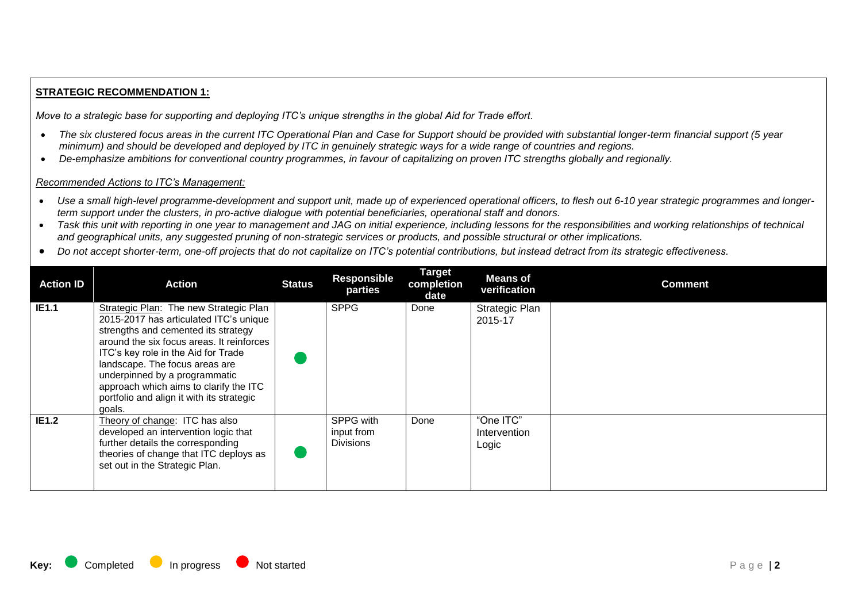# **STRATEGIC RECOMMENDATION 1:**

*Move to a strategic base for supporting and deploying ITC's unique strengths in the global Aid for Trade effort.*

- *The six clustered focus areas in the current ITC Operational Plan and Case for Support should be provided with substantial longer-term financial support (5 year minimum) and should be developed and deployed by ITC in genuinely strategic ways for a wide range of countries and regions.*
- *De-emphasize ambitions for conventional country programmes, in favour of capitalizing on proven ITC strengths globally and regionally.*

## *Recommended Actions to ITC's Management:*

- Use a small high-level programme-development and support unit, made up of experienced operational officers, to flesh out 6-10 year strategic programmes and longer*term support under the clusters, in pro-active dialogue with potential beneficiaries, operational staff and donors.*
- *Task this unit with reporting in one year to management and JAG on initial experience, including lessons for the responsibilities and working relationships of technical and geographical units, any suggested pruning of non-strategic services or products, and possible structural or other implications.*
- *Do not accept shorter-term, one-off projects that do not capitalize on ITC's potential contributions, but instead detract from its strategic effectiveness.*

| <b>Action ID</b> | <b>Action</b>                                                                                                                                                                                                                                                                                                                                                                   | <b>Status</b> | <b>Responsible</b><br>parties               | <b>Target</b><br>completion<br>date | <b>Means</b> of<br>verification    | <b>Comment</b> |
|------------------|---------------------------------------------------------------------------------------------------------------------------------------------------------------------------------------------------------------------------------------------------------------------------------------------------------------------------------------------------------------------------------|---------------|---------------------------------------------|-------------------------------------|------------------------------------|----------------|
| <b>IE1.1</b>     | Strategic Plan: The new Strategic Plan<br>2015-2017 has articulated ITC's unique<br>strengths and cemented its strategy<br>around the six focus areas. It reinforces<br>ITC's key role in the Aid for Trade<br>landscape. The focus areas are<br>underpinned by a programmatic<br>approach which aims to clarify the ITC<br>portfolio and align it with its strategic<br>goals. |               | <b>SPPG</b>                                 | Done                                | Strategic Plan<br>2015-17          |                |
| IE1.2            | Theory of change: ITC has also<br>developed an intervention logic that<br>further details the corresponding<br>theories of change that ITC deploys as<br>set out in the Strategic Plan.                                                                                                                                                                                         |               | SPPG with<br>input from<br><b>Divisions</b> | Done                                | "One ITC"<br>Intervention<br>Logic |                |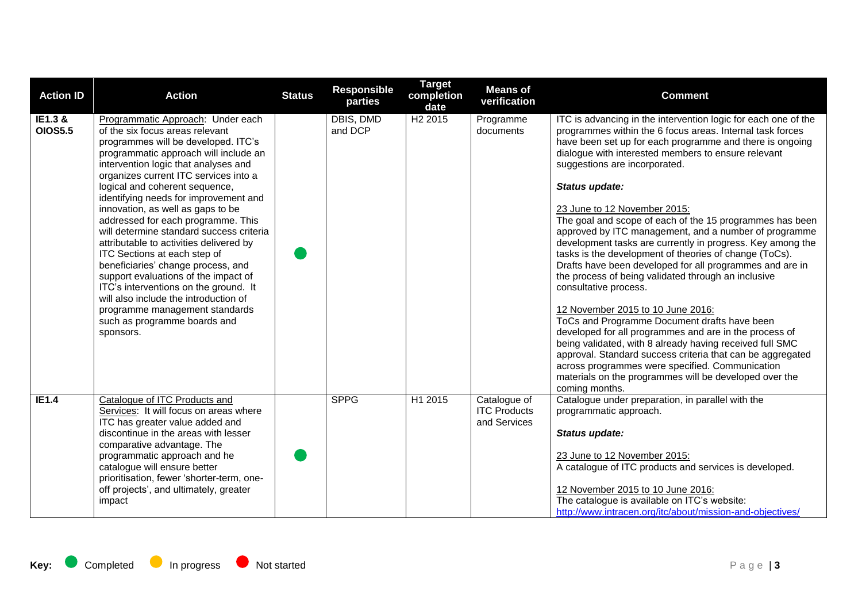| <b>Action ID</b>          | <b>Action</b>                                                                                                                                                                                                                                                                                                                                                                                                                                                                                                                                                                                                                                                                                                                                                     | <b>Status</b> | <b>Responsible</b><br>parties | <b>Target</b><br>completion<br>date | <b>Means of</b><br>verification                     | <b>Comment</b>                                                                                                                                                                                                                                                                                                                                                                                                                                                                                                                                                                                                                                                                                                                                                                                                                                                                                                                                                                                                                                                                                                                     |
|---------------------------|-------------------------------------------------------------------------------------------------------------------------------------------------------------------------------------------------------------------------------------------------------------------------------------------------------------------------------------------------------------------------------------------------------------------------------------------------------------------------------------------------------------------------------------------------------------------------------------------------------------------------------------------------------------------------------------------------------------------------------------------------------------------|---------------|-------------------------------|-------------------------------------|-----------------------------------------------------|------------------------------------------------------------------------------------------------------------------------------------------------------------------------------------------------------------------------------------------------------------------------------------------------------------------------------------------------------------------------------------------------------------------------------------------------------------------------------------------------------------------------------------------------------------------------------------------------------------------------------------------------------------------------------------------------------------------------------------------------------------------------------------------------------------------------------------------------------------------------------------------------------------------------------------------------------------------------------------------------------------------------------------------------------------------------------------------------------------------------------------|
| IE1.3 &<br><b>OIOS5.5</b> | Programmatic Approach: Under each<br>of the six focus areas relevant<br>programmes will be developed. ITC's<br>programmatic approach will include an<br>intervention logic that analyses and<br>organizes current ITC services into a<br>logical and coherent sequence,<br>identifying needs for improvement and<br>innovation, as well as gaps to be<br>addressed for each programme. This<br>will determine standard success criteria<br>attributable to activities delivered by<br>ITC Sections at each step of<br>beneficiaries' change process, and<br>support evaluations of the impact of<br>ITC's interventions on the ground. It<br>will also include the introduction of<br>programme management standards<br>such as programme boards and<br>sponsors. |               | <b>DBIS, DMD</b><br>and DCP   | H <sub>2</sub> 2015                 | Programme<br>documents                              | ITC is advancing in the intervention logic for each one of the<br>programmes within the 6 focus areas. Internal task forces<br>have been set up for each programme and there is ongoing<br>dialogue with interested members to ensure relevant<br>suggestions are incorporated.<br>Status update:<br>23 June to 12 November 2015:<br>The goal and scope of each of the 15 programmes has been<br>approved by ITC management, and a number of programme<br>development tasks are currently in progress. Key among the<br>tasks is the development of theories of change (ToCs).<br>Drafts have been developed for all programmes and are in<br>the process of being validated through an inclusive<br>consultative process.<br>12 November 2015 to 10 June 2016:<br>ToCs and Programme Document drafts have been<br>developed for all programmes and are in the process of<br>being validated, with 8 already having received full SMC<br>approval. Standard success criteria that can be aggregated<br>across programmes were specified. Communication<br>materials on the programmes will be developed over the<br>coming months. |
| IE1.4                     | Catalogue of ITC Products and<br>Services: It will focus on areas where<br>ITC has greater value added and<br>discontinue in the areas with lesser<br>comparative advantage. The<br>programmatic approach and he<br>catalogue will ensure better<br>prioritisation, fewer 'shorter-term, one-<br>off projects', and ultimately, greater<br>impact                                                                                                                                                                                                                                                                                                                                                                                                                 |               | <b>SPPG</b>                   | H1 2015                             | Catalogue of<br><b>ITC Products</b><br>and Services | Catalogue under preparation, in parallel with the<br>programmatic approach.<br>Status update:<br>23 June to 12 November 2015:<br>A catalogue of ITC products and services is developed.<br>12 November 2015 to 10 June 2016:<br>The catalogue is available on ITC's website:<br>http://www.intracen.org/itc/about/mission-and-objectives/                                                                                                                                                                                                                                                                                                                                                                                                                                                                                                                                                                                                                                                                                                                                                                                          |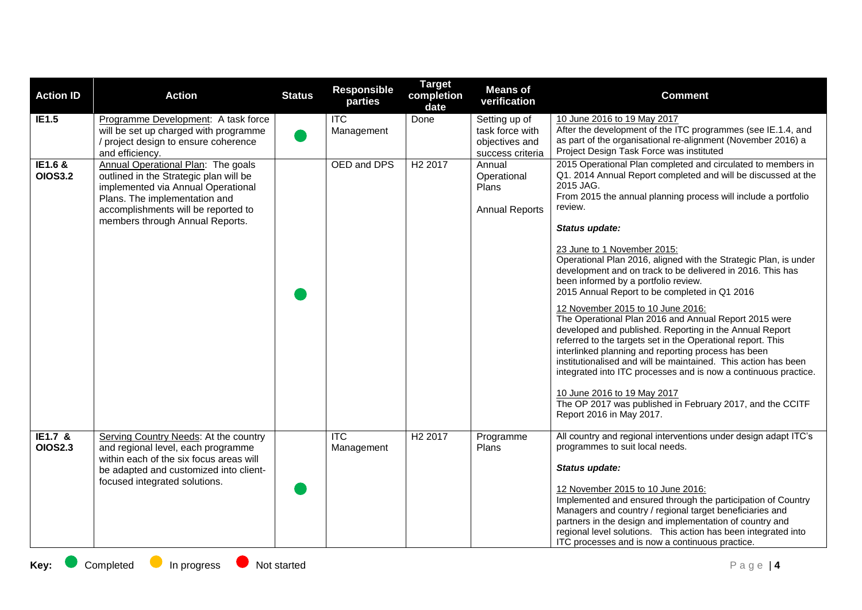| <b>Action ID</b>          | <b>Action</b>                                                                                                                                                                                                                 | <b>Status</b> | <b>Responsible</b><br>parties | <b>Target</b><br>completion<br>date | <b>Means of</b><br>verification                                        | <b>Comment</b>                                                                                                                                                                                                                                                                                                                                                                                                                                                                                                                           |
|---------------------------|-------------------------------------------------------------------------------------------------------------------------------------------------------------------------------------------------------------------------------|---------------|-------------------------------|-------------------------------------|------------------------------------------------------------------------|------------------------------------------------------------------------------------------------------------------------------------------------------------------------------------------------------------------------------------------------------------------------------------------------------------------------------------------------------------------------------------------------------------------------------------------------------------------------------------------------------------------------------------------|
| IE1.5                     | Programme Development: A task force<br>will be set up charged with programme<br>project design to ensure coherence<br>and efficiency.                                                                                         |               | $\overline{TC}$<br>Management | Done                                | Setting up of<br>task force with<br>objectives and<br>success criteria | 10 June 2016 to 19 May 2017<br>After the development of the ITC programmes (see IE.1.4, and<br>as part of the organisational re-alignment (November 2016) a<br>Project Design Task Force was instituted                                                                                                                                                                                                                                                                                                                                  |
| IE1.6 &<br><b>OIOS3.2</b> | Annual Operational Plan: The goals<br>outlined in the Strategic plan will be<br>implemented via Annual Operational<br>Plans. The implementation and<br>accomplishments will be reported to<br>members through Annual Reports. |               | OED and DPS                   | H <sub>2</sub> 2017                 | Annual<br>Operational<br>Plans<br><b>Annual Reports</b>                | 2015 Operational Plan completed and circulated to members in<br>Q1. 2014 Annual Report completed and will be discussed at the<br>2015 JAG.<br>From 2015 the annual planning process will include a portfolio<br>review.<br>Status update:<br>23 June to 1 November 2015:<br>Operational Plan 2016, aligned with the Strategic Plan, is under<br>development and on track to be delivered in 2016. This has<br>been informed by a portfolio review.<br>2015 Annual Report to be completed in Q1 2016                                      |
|                           |                                                                                                                                                                                                                               |               |                               |                                     |                                                                        | 12 November 2015 to 10 June 2016:<br>The Operational Plan 2016 and Annual Report 2015 were<br>developed and published. Reporting in the Annual Report<br>referred to the targets set in the Operational report. This<br>interlinked planning and reporting process has been<br>institutionalised and will be maintained. This action has been<br>integrated into ITC processes and is now a continuous practice.<br>10 June 2016 to 19 May 2017<br>The OP 2017 was published in February 2017, and the CCITF<br>Report 2016 in May 2017. |
| IE1.7 &<br><b>OIOS2.3</b> | Serving Country Needs: At the country<br>and regional level, each programme<br>within each of the six focus areas will<br>be adapted and customized into client-<br>focused integrated solutions.                             |               | <b>ITC</b><br>Management      | H <sub>2</sub> 2017                 | Programme<br>Plans                                                     | All country and regional interventions under design adapt ITC's<br>programmes to suit local needs.<br>Status update:<br>12 November 2015 to 10 June 2016:<br>Implemented and ensured through the participation of Country<br>Managers and country / regional target beneficiaries and<br>partners in the design and implementation of country and<br>regional level solutions. This action has been integrated into<br>ITC processes and is now a continuous practice.                                                                   |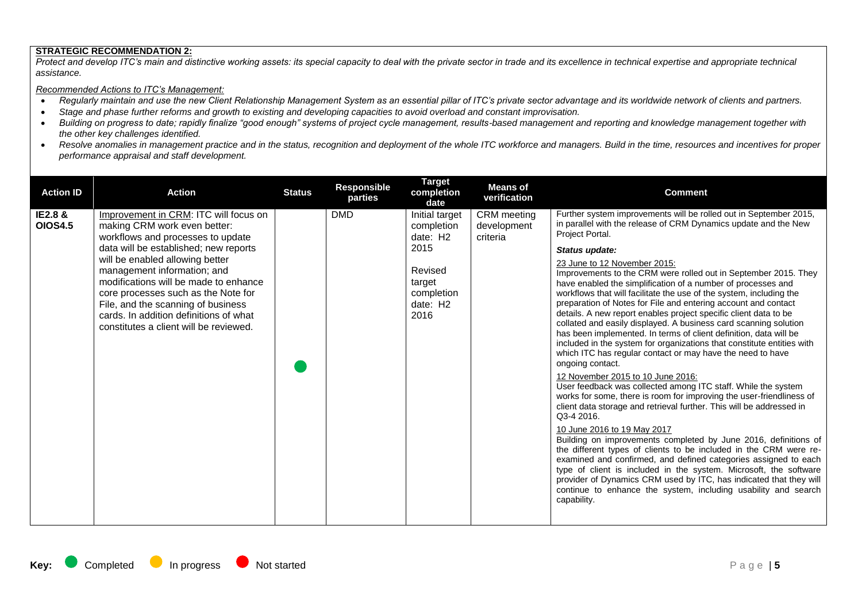### **STRATEGIC RECOMMENDATION 2:**

Protect and develop ITC's main and distinctive working assets: its special capacity to deal with the private sector in trade and its excellence in technical expertise and appropriate technical *assistance.*

#### *Recommended Actions to ITC's Management:*

- *Regularly maintain and use the new Client Relationship Management System as an essential pillar of ITC's private sector advantage and its worldwide network of clients and partners.*
- *Stage and phase further reforms and growth to existing and developing capacities to avoid overload and constant improvisation.*
- *Building on progress to date; rapidly finalize "good enough" systems of project cycle management, results-based management and reporting and knowledge management together with the other key challenges identified.*
- Resolve anomalies in management practice and in the status, recognition and deployment of the whole ITC workforce and managers. Build in the time, resources and incentives for proper *performance appraisal and staff development.*

| <b>Action ID</b>          | <b>Action</b>                                                                                                                                                                                                                                                                                                                                                                                                                   | <b>Status</b> | <b>Responsible</b><br>parties | <b>Target</b><br>completion<br>date                                                                     | <b>Means of</b><br>verification        | <b>Comment</b>                                                                                                                                                                                                                                                                                                                                                                                                                                                                                                                                                                                                                                                                                                                                                                                                                                                                                                                                                                                                                                                                                                                                                                                                                                                                                                                                                                                                                                                                                                                                                                                           |
|---------------------------|---------------------------------------------------------------------------------------------------------------------------------------------------------------------------------------------------------------------------------------------------------------------------------------------------------------------------------------------------------------------------------------------------------------------------------|---------------|-------------------------------|---------------------------------------------------------------------------------------------------------|----------------------------------------|----------------------------------------------------------------------------------------------------------------------------------------------------------------------------------------------------------------------------------------------------------------------------------------------------------------------------------------------------------------------------------------------------------------------------------------------------------------------------------------------------------------------------------------------------------------------------------------------------------------------------------------------------------------------------------------------------------------------------------------------------------------------------------------------------------------------------------------------------------------------------------------------------------------------------------------------------------------------------------------------------------------------------------------------------------------------------------------------------------------------------------------------------------------------------------------------------------------------------------------------------------------------------------------------------------------------------------------------------------------------------------------------------------------------------------------------------------------------------------------------------------------------------------------------------------------------------------------------------------|
| IE2.8 &<br><b>OIOS4.5</b> | Improvement in CRM: ITC will focus on<br>making CRM work even better:<br>workflows and processes to update<br>data will be established; new reports<br>will be enabled allowing better<br>management information; and<br>modifications will be made to enhance<br>core processes such as the Note for<br>File, and the scanning of business<br>cards. In addition definitions of what<br>constitutes a client will be reviewed. |               | <b>DMD</b>                    | Initial target<br>completion<br>date: H2<br>2015<br>Revised<br>target<br>completion<br>date: H2<br>2016 | CRM meeting<br>development<br>criteria | Further system improvements will be rolled out in September 2015,<br>in parallel with the release of CRM Dynamics update and the New<br>Project Portal.<br>Status update:<br>23 June to 12 November 2015:<br>Improvements to the CRM were rolled out in September 2015. They<br>have enabled the simplification of a number of processes and<br>workflows that will facilitate the use of the system, including the<br>preparation of Notes for File and entering account and contact<br>details. A new report enables project specific client data to be<br>collated and easily displayed. A business card scanning solution<br>has been implemented. In terms of client definition, data will be<br>included in the system for organizations that constitute entities with<br>which ITC has regular contact or may have the need to have<br>ongoing contact.<br>12 November 2015 to 10 June 2016:<br>User feedback was collected among ITC staff. While the system<br>works for some, there is room for improving the user-friendliness of<br>client data storage and retrieval further. This will be addressed in<br>Q3-4 2016.<br>10 June 2016 to 19 May 2017<br>Building on improvements completed by June 2016, definitions of<br>the different types of clients to be included in the CRM were re-<br>examined and confirmed, and defined categories assigned to each<br>type of client is included in the system. Microsoft, the software<br>provider of Dynamics CRM used by ITC, has indicated that they will<br>continue to enhance the system, including usability and search<br>capability. |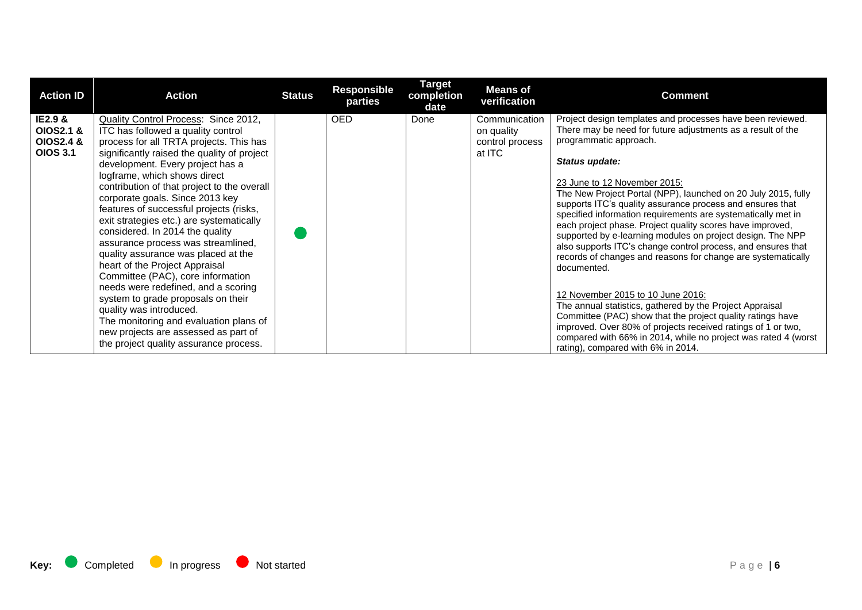| <b>Action ID</b>                                                           | <b>Action</b>                                                                                                                                                                                                                                                                                                                                                                                                                                                                                                                                                                                                                                                                                                                                                                                                                                | <b>Status</b> | <b>Responsible</b><br>parties | <b>Target</b><br>completion<br>date | <b>Means of</b><br>verification                          | <b>Comment</b>                                                                                                                                                                                                                                                                                                                                                                                                                                                                                                                                                                                                                                                                                                                                                                                                                                                                                                                                                                                                       |
|----------------------------------------------------------------------------|----------------------------------------------------------------------------------------------------------------------------------------------------------------------------------------------------------------------------------------------------------------------------------------------------------------------------------------------------------------------------------------------------------------------------------------------------------------------------------------------------------------------------------------------------------------------------------------------------------------------------------------------------------------------------------------------------------------------------------------------------------------------------------------------------------------------------------------------|---------------|-------------------------------|-------------------------------------|----------------------------------------------------------|----------------------------------------------------------------------------------------------------------------------------------------------------------------------------------------------------------------------------------------------------------------------------------------------------------------------------------------------------------------------------------------------------------------------------------------------------------------------------------------------------------------------------------------------------------------------------------------------------------------------------------------------------------------------------------------------------------------------------------------------------------------------------------------------------------------------------------------------------------------------------------------------------------------------------------------------------------------------------------------------------------------------|
| <b>IE2.9 &amp;</b><br>OIOS2.1 &<br><b>OIOS2.4 &amp;</b><br><b>OIOS 3.1</b> | Quality Control Process: Since 2012,<br>ITC has followed a quality control<br>process for all TRTA projects. This has<br>significantly raised the quality of project<br>development. Every project has a<br>logframe, which shows direct<br>contribution of that project to the overall<br>corporate goals. Since 2013 key<br>features of successful projects (risks,<br>exit strategies etc.) are systematically<br>considered. In 2014 the quality<br>assurance process was streamlined,<br>quality assurance was placed at the<br>heart of the Project Appraisal<br>Committee (PAC), core information<br>needs were redefined, and a scoring<br>system to grade proposals on their<br>quality was introduced.<br>The monitoring and evaluation plans of<br>new projects are assessed as part of<br>the project quality assurance process. |               | <b>OED</b>                    | Done                                | Communication<br>on quality<br>control process<br>at ITC | Project design templates and processes have been reviewed.<br>There may be need for future adjustments as a result of the<br>programmatic approach.<br>Status update:<br>23 June to 12 November 2015:<br>The New Project Portal (NPP), launched on 20 July 2015, fully<br>supports ITC's quality assurance process and ensures that<br>specified information requirements are systematically met in<br>each project phase. Project quality scores have improved,<br>supported by e-learning modules on project design. The NPP<br>also supports ITC's change control process, and ensures that<br>records of changes and reasons for change are systematically<br>documented.<br>12 November 2015 to 10 June 2016:<br>The annual statistics, gathered by the Project Appraisal<br>Committee (PAC) show that the project quality ratings have<br>improved. Over 80% of projects received ratings of 1 or two,<br>compared with 66% in 2014, while no project was rated 4 (worst<br>rating), compared with 6% in 2014. |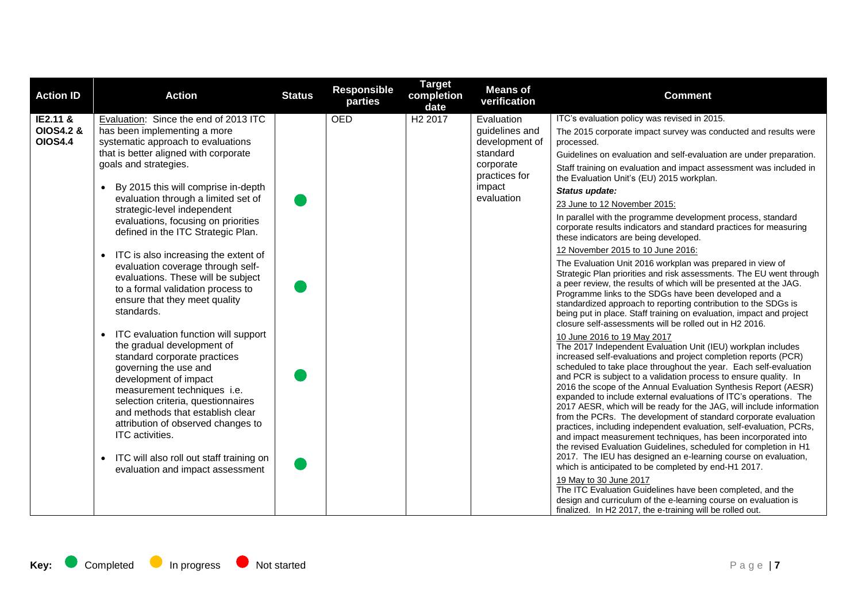| <b>Action ID</b>                       | <b>Action</b>                                                                                                                                                                                                                                                                                                                                                                                                       | <b>Status</b> | <b>Responsible</b><br>parties | <b>Target</b><br>completion<br>date | <b>Means of</b><br>verification  | <b>Comment</b>                                                                                                                                                                                                                                                                                                                                                                                                                                                                                                                                                                                                                                                                                                                                                                                                                                                                                                                                              |
|----------------------------------------|---------------------------------------------------------------------------------------------------------------------------------------------------------------------------------------------------------------------------------------------------------------------------------------------------------------------------------------------------------------------------------------------------------------------|---------------|-------------------------------|-------------------------------------|----------------------------------|-------------------------------------------------------------------------------------------------------------------------------------------------------------------------------------------------------------------------------------------------------------------------------------------------------------------------------------------------------------------------------------------------------------------------------------------------------------------------------------------------------------------------------------------------------------------------------------------------------------------------------------------------------------------------------------------------------------------------------------------------------------------------------------------------------------------------------------------------------------------------------------------------------------------------------------------------------------|
| IE2.11 &                               | Evaluation: Since the end of 2013 ITC                                                                                                                                                                                                                                                                                                                                                                               |               | <b>OED</b>                    | H <sub>2</sub> 2017                 | Evaluation                       | ITC's evaluation policy was revised in 2015.                                                                                                                                                                                                                                                                                                                                                                                                                                                                                                                                                                                                                                                                                                                                                                                                                                                                                                                |
| <b>OIOS4.2 &amp;</b><br><b>OIOS4.4</b> | has been implementing a more<br>systematic approach to evaluations                                                                                                                                                                                                                                                                                                                                                  |               |                               |                                     | guidelines and<br>development of | The 2015 corporate impact survey was conducted and results were<br>processed.                                                                                                                                                                                                                                                                                                                                                                                                                                                                                                                                                                                                                                                                                                                                                                                                                                                                               |
|                                        | that is better aligned with corporate                                                                                                                                                                                                                                                                                                                                                                               |               |                               |                                     | standard                         | Guidelines on evaluation and self-evaluation are under preparation.                                                                                                                                                                                                                                                                                                                                                                                                                                                                                                                                                                                                                                                                                                                                                                                                                                                                                         |
|                                        | goals and strategies.                                                                                                                                                                                                                                                                                                                                                                                               |               |                               |                                     | corporate<br>practices for       | Staff training on evaluation and impact assessment was included in<br>the Evaluation Unit's (EU) 2015 workplan.                                                                                                                                                                                                                                                                                                                                                                                                                                                                                                                                                                                                                                                                                                                                                                                                                                             |
|                                        | By 2015 this will comprise in-depth                                                                                                                                                                                                                                                                                                                                                                                 |               |                               |                                     | impact                           | Status update:                                                                                                                                                                                                                                                                                                                                                                                                                                                                                                                                                                                                                                                                                                                                                                                                                                                                                                                                              |
|                                        | evaluation through a limited set of<br>strategic-level independent                                                                                                                                                                                                                                                                                                                                                  |               |                               |                                     | evaluation                       | 23 June to 12 November 2015:                                                                                                                                                                                                                                                                                                                                                                                                                                                                                                                                                                                                                                                                                                                                                                                                                                                                                                                                |
|                                        | evaluations, focusing on priorities<br>defined in the ITC Strategic Plan.                                                                                                                                                                                                                                                                                                                                           |               |                               |                                     |                                  | In parallel with the programme development process, standard<br>corporate results indicators and standard practices for measuring<br>these indicators are being developed.                                                                                                                                                                                                                                                                                                                                                                                                                                                                                                                                                                                                                                                                                                                                                                                  |
|                                        | ITC is also increasing the extent of<br>$\bullet$                                                                                                                                                                                                                                                                                                                                                                   |               |                               |                                     |                                  | 12 November 2015 to 10 June 2016:                                                                                                                                                                                                                                                                                                                                                                                                                                                                                                                                                                                                                                                                                                                                                                                                                                                                                                                           |
|                                        | evaluation coverage through self-<br>evaluations. These will be subject<br>to a formal validation process to<br>ensure that they meet quality<br>standards.                                                                                                                                                                                                                                                         |               |                               |                                     |                                  | The Evaluation Unit 2016 workplan was prepared in view of<br>Strategic Plan priorities and risk assessments. The EU went through<br>a peer review, the results of which will be presented at the JAG.<br>Programme links to the SDGs have been developed and a<br>standardized approach to reporting contribution to the SDGs is<br>being put in place. Staff training on evaluation, impact and project<br>closure self-assessments will be rolled out in H2 2016.                                                                                                                                                                                                                                                                                                                                                                                                                                                                                         |
|                                        | ITC evaluation function will support<br>the gradual development of<br>standard corporate practices<br>governing the use and<br>development of impact<br>measurement techniques i.e.<br>selection criteria, questionnaires<br>and methods that establish clear<br>attribution of observed changes to<br>ITC activities.<br>ITC will also roll out staff training on<br>$\bullet$<br>evaluation and impact assessment |               |                               |                                     |                                  | 10 June 2016 to 19 May 2017<br>The 2017 Independent Evaluation Unit (IEU) workplan includes<br>increased self-evaluations and project completion reports (PCR)<br>scheduled to take place throughout the year. Each self-evaluation<br>and PCR is subject to a validation process to ensure quality. In<br>2016 the scope of the Annual Evaluation Synthesis Report (AESR)<br>expanded to include external evaluations of ITC's operations. The<br>2017 AESR, which will be ready for the JAG, will include information<br>from the PCRs. The development of standard corporate evaluation<br>practices, including independent evaluation, self-evaluation, PCRs,<br>and impact measurement techniques, has been incorporated into<br>the revised Evaluation Guidelines, scheduled for completion in H1<br>2017. The IEU has designed an e-learning course on evaluation,<br>which is anticipated to be completed by end-H1 2017.<br>19 May to 30 June 2017 |
|                                        |                                                                                                                                                                                                                                                                                                                                                                                                                     |               |                               |                                     |                                  | The ITC Evaluation Guidelines have been completed, and the<br>design and curriculum of the e-learning course on evaluation is<br>finalized. In H2 2017, the e-training will be rolled out.                                                                                                                                                                                                                                                                                                                                                                                                                                                                                                                                                                                                                                                                                                                                                                  |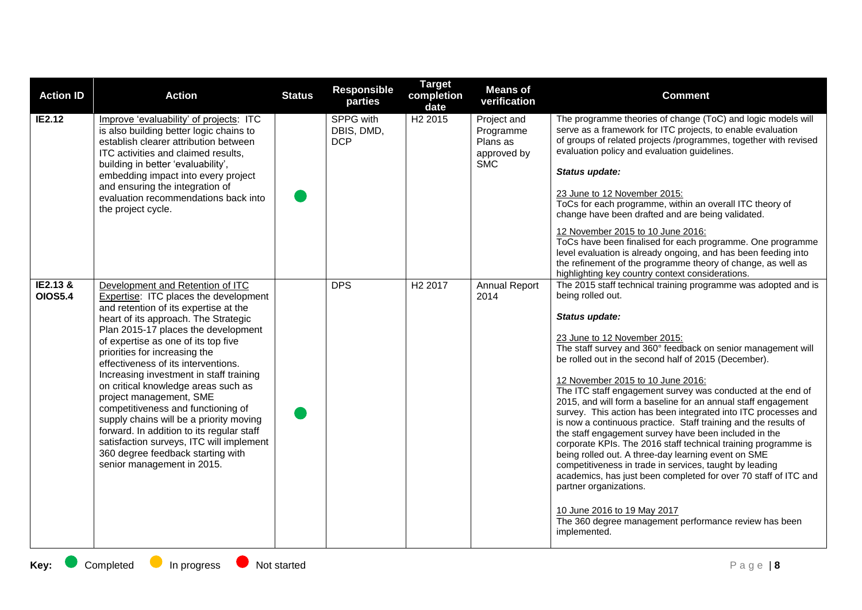| <b>Action ID</b>           | <b>Action</b>                                                                                                                                                                                                                                                                                                                                                                                                                                                                                                                                                                                                                                                              | <b>Status</b> | <b>Responsible</b><br>parties         | <b>Target</b><br>completion<br>date | <b>Means of</b><br>verification                                   | <b>Comment</b>                                                                                                                                                                                                                                                                                                                                                                                                                                                                                                                                                                                                                                                                                                                                                                                                                                                                                                                                                                                                            |
|----------------------------|----------------------------------------------------------------------------------------------------------------------------------------------------------------------------------------------------------------------------------------------------------------------------------------------------------------------------------------------------------------------------------------------------------------------------------------------------------------------------------------------------------------------------------------------------------------------------------------------------------------------------------------------------------------------------|---------------|---------------------------------------|-------------------------------------|-------------------------------------------------------------------|---------------------------------------------------------------------------------------------------------------------------------------------------------------------------------------------------------------------------------------------------------------------------------------------------------------------------------------------------------------------------------------------------------------------------------------------------------------------------------------------------------------------------------------------------------------------------------------------------------------------------------------------------------------------------------------------------------------------------------------------------------------------------------------------------------------------------------------------------------------------------------------------------------------------------------------------------------------------------------------------------------------------------|
| IE2.12                     | Improve 'evaluability' of projects: ITC<br>is also building better logic chains to<br>establish clearer attribution between<br>ITC activities and claimed results,<br>building in better 'evaluability',<br>embedding impact into every project<br>and ensuring the integration of<br>evaluation recommendations back into<br>the project cycle.                                                                                                                                                                                                                                                                                                                           |               | SPPG with<br>DBIS, DMD,<br><b>DCP</b> | H <sub>2</sub> 2015                 | Project and<br>Programme<br>Plans as<br>approved by<br><b>SMC</b> | The programme theories of change (ToC) and logic models will<br>serve as a framework for ITC projects, to enable evaluation<br>of groups of related projects /programmes, together with revised<br>evaluation policy and evaluation guidelines.<br>Status update:<br>23 June to 12 November 2015:<br>ToCs for each programme, within an overall ITC theory of<br>change have been drafted and are being validated.<br>12 November 2015 to 10 June 2016:<br>ToCs have been finalised for each programme. One programme<br>level evaluation is already ongoing, and has been feeding into<br>the refinement of the programme theory of change, as well as<br>highlighting key country context considerations.                                                                                                                                                                                                                                                                                                               |
| IE2.13 &<br><b>OIOS5.4</b> | Development and Retention of ITC<br>Expertise: ITC places the development<br>and retention of its expertise at the<br>heart of its approach. The Strategic<br>Plan 2015-17 places the development<br>of expertise as one of its top five<br>priorities for increasing the<br>effectiveness of its interventions.<br>Increasing investment in staff training<br>on critical knowledge areas such as<br>project management, SME<br>competitiveness and functioning of<br>supply chains will be a priority moving<br>forward. In addition to its regular staff<br>satisfaction surveys, ITC will implement<br>360 degree feedback starting with<br>senior management in 2015. |               | <b>DPS</b>                            | H <sub>2</sub> 2017                 | <b>Annual Report</b><br>2014                                      | The 2015 staff technical training programme was adopted and is<br>being rolled out.<br>Status update:<br>23 June to 12 November 2015:<br>The staff survey and 360° feedback on senior management will<br>be rolled out in the second half of 2015 (December).<br>12 November 2015 to 10 June 2016:<br>The ITC staff engagement survey was conducted at the end of<br>2015, and will form a baseline for an annual staff engagement<br>survey. This action has been integrated into ITC processes and<br>is now a continuous practice. Staff training and the results of<br>the staff engagement survey have been included in the<br>corporate KPIs. The 2016 staff technical training programme is<br>being rolled out. A three-day learning event on SME<br>competitiveness in trade in services, taught by leading<br>academics, has just been completed for over 70 staff of ITC and<br>partner organizations.<br>10 June 2016 to 19 May 2017<br>The 360 degree management performance review has been<br>implemented. |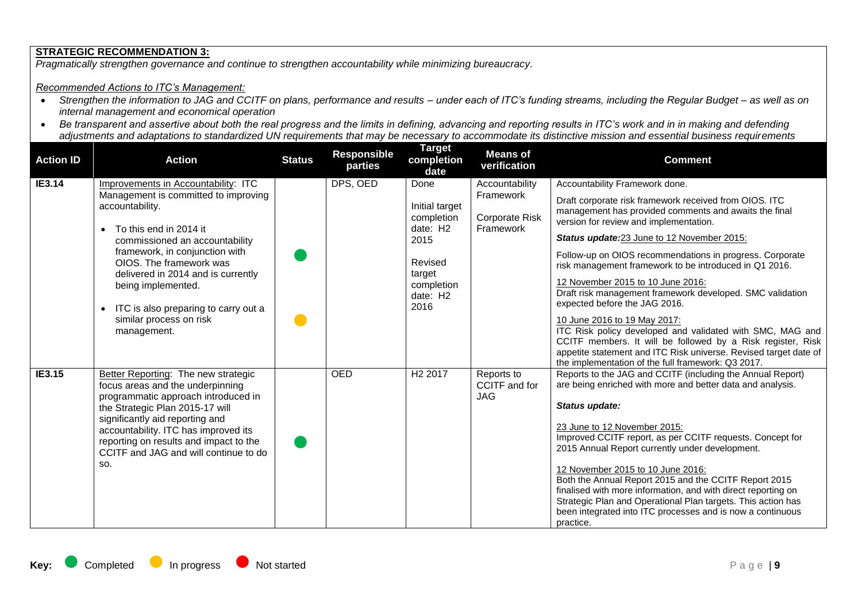# **STRATEGIC RECOMMENDATION 3:**

*Pragmatically strengthen governance and continue to strengthen accountability while minimizing bureaucracy.*

## *Recommended Actions to ITC's Management:*

- *Strengthen the information to JAG and CCITF on plans, performance and results – under each of ITC's funding streams, including the Regular Budget – as well as on internal management and economical operation*
- *Be transparent and assertive about both the real progress and the limits in defining, advancing and reporting results in ITC's work and in in making and defending adjustments and adaptations to standardized UN requirements that may be necessary to accommodate its distinctive mission and essential business requirements*

| <b>Action ID</b> | <b>Action</b>                                                                                                                                                                                                                                                                                                                                                         | <b>Status</b> | Responsible<br>parties | <u>Target</u><br>completion<br>date                                                                             | <b>Means of</b><br>verification                            | <b>Comment</b>                                                                                                                                                                                                                                                                                                                                                                                                                                                                                                                                                                                                                                                                                                                                                                           |
|------------------|-----------------------------------------------------------------------------------------------------------------------------------------------------------------------------------------------------------------------------------------------------------------------------------------------------------------------------------------------------------------------|---------------|------------------------|-----------------------------------------------------------------------------------------------------------------|------------------------------------------------------------|------------------------------------------------------------------------------------------------------------------------------------------------------------------------------------------------------------------------------------------------------------------------------------------------------------------------------------------------------------------------------------------------------------------------------------------------------------------------------------------------------------------------------------------------------------------------------------------------------------------------------------------------------------------------------------------------------------------------------------------------------------------------------------------|
| IE3.14           | Improvements in Accountability: ITC<br>Management is committed to improving<br>accountability.<br>To this end in 2014 it<br>commissioned an accountability<br>framework, in conjunction with<br>OIOS. The framework was<br>delivered in 2014 and is currently<br>being implemented.<br>ITC is also preparing to carry out a<br>similar process on risk<br>management. |               | DPS, OED               | Done<br>Initial target<br>completion<br>date: H2<br>2015<br>Revised<br>target<br>completion<br>date: H2<br>2016 | Accountability<br>Framework<br>Corporate Risk<br>Framework | Accountability Framework done.<br>Draft corporate risk framework received from OIOS. ITC<br>management has provided comments and awaits the final<br>version for review and implementation.<br>Status update:23 June to 12 November 2015:<br>Follow-up on OIOS recommendations in progress. Corporate<br>risk management framework to be introduced in Q1 2016.<br>12 November 2015 to 10 June 2016:<br>Draft risk management framework developed. SMC validation<br>expected before the JAG 2016.<br>10 June 2016 to 19 May 2017:<br>ITC Risk policy developed and validated with SMC, MAG and<br>CCITF members. It will be followed by a Risk register, Risk<br>appetite statement and ITC Risk universe. Revised target date of<br>the implementation of the full framework: Q3 2017. |
| IE3.15           | <b>Better Reporting: The new strategic</b><br>focus areas and the underpinning<br>programmatic approach introduced in<br>the Strategic Plan 2015-17 will<br>significantly aid reporting and<br>accountability. ITC has improved its<br>reporting on results and impact to the<br>CCITF and JAG and will continue to do<br>SO.                                         |               | <b>OED</b>             | H <sub>2</sub> 2017                                                                                             | Reports to<br>CCITF and for<br><b>JAG</b>                  | Reports to the JAG and CCITF (including the Annual Report)<br>are being enriched with more and better data and analysis.<br>Status update:<br>23 June to 12 November 2015:<br>Improved CCITF report, as per CCITF requests. Concept for<br>2015 Annual Report currently under development.<br>12 November 2015 to 10 June 2016:<br>Both the Annual Report 2015 and the CCITF Report 2015<br>finalised with more information, and with direct reporting on<br>Strategic Plan and Operational Plan targets. This action has<br>been integrated into ITC processes and is now a continuous<br>practice.                                                                                                                                                                                     |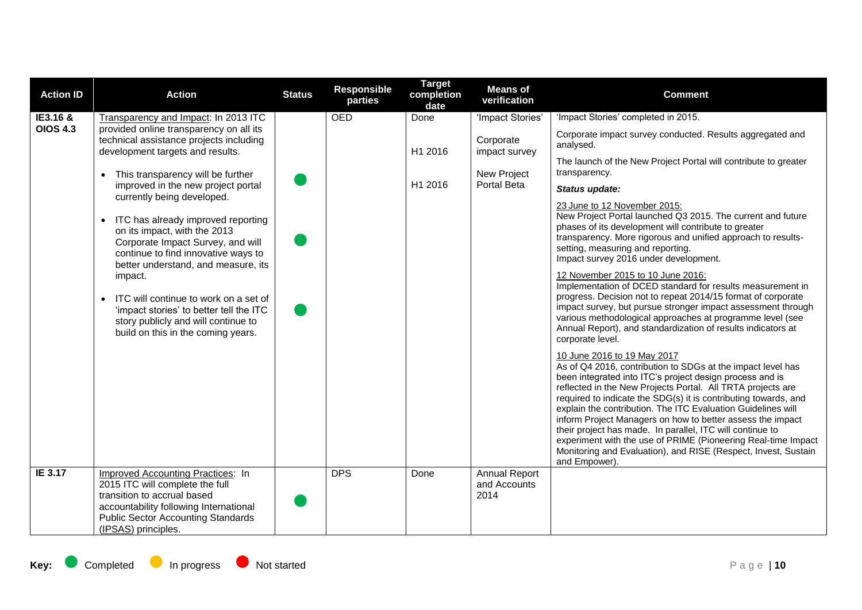| <b>Action ID</b> | <b>Action</b>                                                                                                                                                                                                                                                                                                                                                                                                  | <b>Status</b> | <b>Responsible</b><br>parties | <b>Target</b><br>completion<br>date | <b>Means of</b><br>verification              | <b>Comment</b>                                                                                                                                                                                                                                                                                                                                                                                                                                                                                                                                                                                                                                                                        |
|------------------|----------------------------------------------------------------------------------------------------------------------------------------------------------------------------------------------------------------------------------------------------------------------------------------------------------------------------------------------------------------------------------------------------------------|---------------|-------------------------------|-------------------------------------|----------------------------------------------|---------------------------------------------------------------------------------------------------------------------------------------------------------------------------------------------------------------------------------------------------------------------------------------------------------------------------------------------------------------------------------------------------------------------------------------------------------------------------------------------------------------------------------------------------------------------------------------------------------------------------------------------------------------------------------------|
| IE3.16 &         | Transparency and Impact: In 2013 ITC                                                                                                                                                                                                                                                                                                                                                                           |               | <b>OED</b>                    | Done                                | 'Impact Stories'                             | 'Impact Stories' completed in 2015.                                                                                                                                                                                                                                                                                                                                                                                                                                                                                                                                                                                                                                                   |
| <b>OIOS 4.3</b>  | provided online transparency on all its<br>technical assistance projects including<br>development targets and results.<br>This transparency will be further<br>improved in the new project portal                                                                                                                                                                                                              |               |                               | H1 2016                             | Corporate<br>impact survey                   | Corporate impact survey conducted. Results aggregated and<br>analysed.                                                                                                                                                                                                                                                                                                                                                                                                                                                                                                                                                                                                                |
|                  |                                                                                                                                                                                                                                                                                                                                                                                                                |               |                               | H1 2016                             | New Project<br>Portal Beta                   | The launch of the New Project Portal will contribute to greater<br>transparency.<br>Status update:                                                                                                                                                                                                                                                                                                                                                                                                                                                                                                                                                                                    |
|                  | currently being developed.<br>ITC has already improved reporting<br>$\bullet$<br>on its impact, with the 2013<br>Corporate Impact Survey, and will<br>continue to find innovative ways to<br>better understand, and measure, its<br>impact.<br>• ITC will continue to work on a set of<br>'impact stories' to better tell the ITC<br>story publicly and will continue to<br>build on this in the coming years. |               |                               |                                     |                                              | 23 June to 12 November 2015:<br>New Project Portal launched Q3 2015. The current and future<br>phases of its development will contribute to greater<br>transparency. More rigorous and unified approach to results-<br>setting, measuring and reporting.<br>Impact survey 2016 under development.<br>12 November 2015 to 10 June 2016:<br>Implementation of DCED standard for results measurement in<br>progress. Decision not to repeat 2014/15 format of corporate<br>impact survey, but pursue stronger impact assessment through<br>various methodological approaches at programme level (see<br>Annual Report), and standardization of results indicators at<br>corporate level. |
|                  |                                                                                                                                                                                                                                                                                                                                                                                                                |               |                               |                                     |                                              | 10 June 2016 to 19 May 2017<br>As of Q4 2016, contribution to SDGs at the impact level has<br>been integrated into ITC's project design process and is<br>reflected in the New Projects Portal. All TRTA projects are<br>required to indicate the SDG(s) it is contributing towards, and<br>explain the contribution. The ITC Evaluation Guidelines will<br>inform Project Managers on how to better assess the impact<br>their project has made. In parallel, ITC will continue to<br>experiment with the use of PRIME (Pioneering Real-time Impact<br>Monitoring and Evaluation), and RISE (Respect, Invest, Sustain<br>and Empower).                                               |
| IE 3.17          | <b>Improved Accounting Practices: In</b><br>2015 ITC will complete the full<br>transition to accrual based<br>accountability following International<br><b>Public Sector Accounting Standards</b><br>(IPSAS) principles.                                                                                                                                                                                       |               | <b>DPS</b>                    | Done                                | <b>Annual Report</b><br>and Accounts<br>2014 |                                                                                                                                                                                                                                                                                                                                                                                                                                                                                                                                                                                                                                                                                       |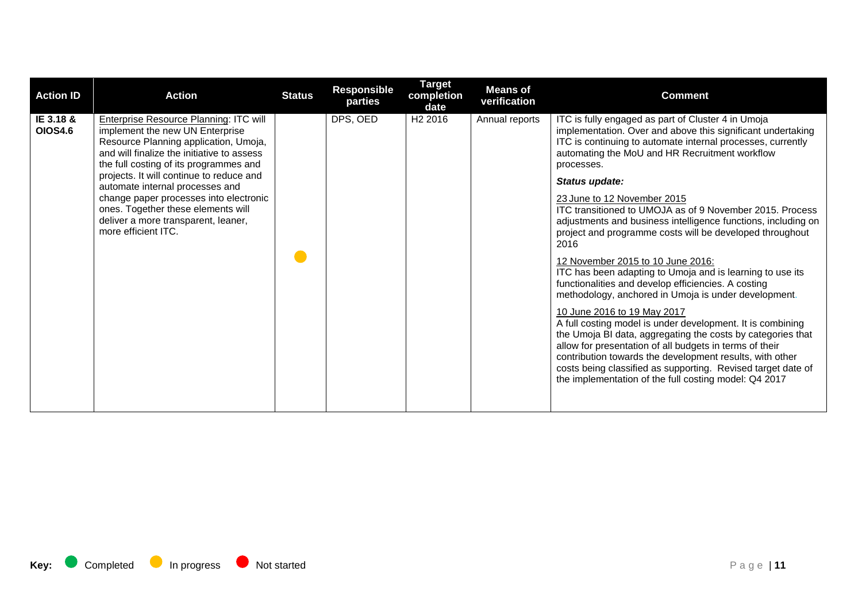| <b>Action ID</b>            | <b>Action</b>                                                                                                                                                                                                                                                                                                                                                                                                                                  | <b>Status</b> | Responsible<br>parties | <b>Target</b><br>completion<br>date | <b>Means of</b><br>verification | <b>Comment</b>                                                                                                                                                                                                                                                                                                                                                                                                                                                                                                                                                                                                                                                                                                                                                                                                                                                                                                                                                                                                                                                                                                                  |
|-----------------------------|------------------------------------------------------------------------------------------------------------------------------------------------------------------------------------------------------------------------------------------------------------------------------------------------------------------------------------------------------------------------------------------------------------------------------------------------|---------------|------------------------|-------------------------------------|---------------------------------|---------------------------------------------------------------------------------------------------------------------------------------------------------------------------------------------------------------------------------------------------------------------------------------------------------------------------------------------------------------------------------------------------------------------------------------------------------------------------------------------------------------------------------------------------------------------------------------------------------------------------------------------------------------------------------------------------------------------------------------------------------------------------------------------------------------------------------------------------------------------------------------------------------------------------------------------------------------------------------------------------------------------------------------------------------------------------------------------------------------------------------|
| IE 3.18 &<br><b>OIOS4.6</b> | <b>Enterprise Resource Planning: ITC will</b><br>implement the new UN Enterprise<br>Resource Planning application, Umoja,<br>and will finalize the initiative to assess<br>the full costing of its programmes and<br>projects. It will continue to reduce and<br>automate internal processes and<br>change paper processes into electronic<br>ones. Together these elements will<br>deliver a more transparent, leaner,<br>more efficient ITC. |               | DPS, OED               | H <sub>2</sub> 2016                 | Annual reports                  | ITC is fully engaged as part of Cluster 4 in Umoja<br>implementation. Over and above this significant undertaking<br>ITC is continuing to automate internal processes, currently<br>automating the MoU and HR Recruitment workflow<br>processes.<br>Status update:<br>23 June to 12 November 2015<br>ITC transitioned to UMOJA as of 9 November 2015. Process<br>adjustments and business intelligence functions, including on<br>project and programme costs will be developed throughout<br>2016<br>12 November 2015 to 10 June 2016:<br>ITC has been adapting to Umoja and is learning to use its<br>functionalities and develop efficiencies. A costing<br>methodology, anchored in Umoja is under development.<br>10 June 2016 to 19 May 2017<br>A full costing model is under development. It is combining<br>the Umoja BI data, aggregating the costs by categories that<br>allow for presentation of all budgets in terms of their<br>contribution towards the development results, with other<br>costs being classified as supporting. Revised target date of<br>the implementation of the full costing model: Q4 2017 |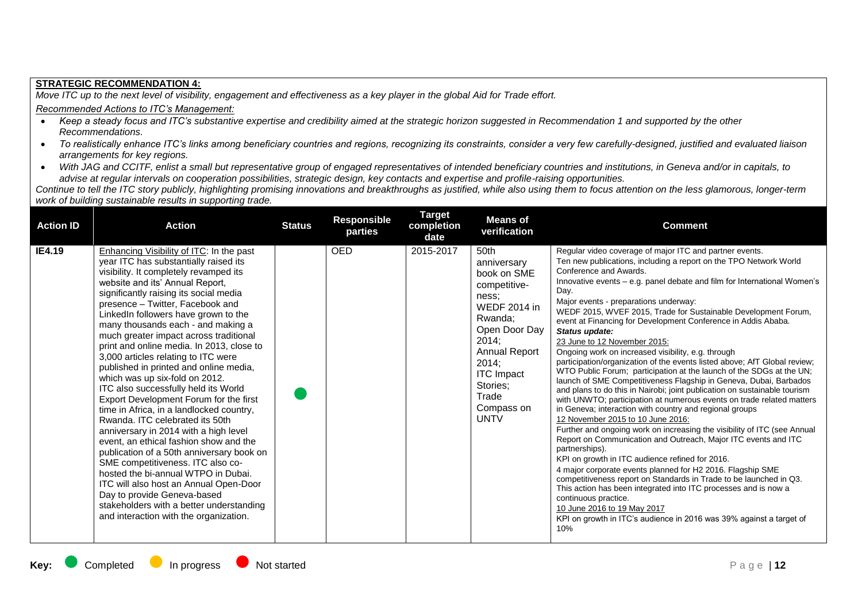## **STRATEGIC RECOMMENDATION 4:**

*Move ITC up to the next level of visibility, engagement and effectiveness as a key player in the global Aid for Trade effort.*

## *Recommended Actions to ITC's Management:*

- *Keep a steady focus and ITC's substantive expertise and credibility aimed at the strategic horizon suggested in Recommendation 1 and supported by the other Recommendations.*
- *To realistically enhance ITC's links among beneficiary countries and regions, recognizing its constraints, consider a very few carefully-designed, justified and evaluated liaison arrangements for key regions.*
- *With JAG and CCITF, enlist a small but representative group of engaged representatives of intended beneficiary countries and institutions, in Geneva and/or in capitals, to advise at regular intervals on cooperation possibilities, strategic design, key contacts and expertise and profile-raising opportunities.*

*Continue to tell the ITC story publicly, highlighting promising innovations and breakthroughs as justified, while also using them to focus attention on the less glamorous, longer-term work of building sustainable results in supporting trade.*

| <b>Action ID</b> | <b>Action</b>                                                                                                                                                                                                                                                                                                                                                                                                                                                                                                                                                                                                                                                                                                                                                                                                                                                                                                                                                                                                                                                                    | <b>Status</b> | <b>Responsible</b><br>parties | <b>Target</b><br>completion<br>date | <b>Means of</b><br>verification                                                                                                                                                                                                             | <b>Comment</b>                                                                                                                                                                                                                                                                                                                                                                                                                                                                                                                                                                                                                                                                                                                                                                                                                                                                                                                                                                                                                                                                                                                                                                                                                                                                                                                                                                                                                                                                                                                                                                |
|------------------|----------------------------------------------------------------------------------------------------------------------------------------------------------------------------------------------------------------------------------------------------------------------------------------------------------------------------------------------------------------------------------------------------------------------------------------------------------------------------------------------------------------------------------------------------------------------------------------------------------------------------------------------------------------------------------------------------------------------------------------------------------------------------------------------------------------------------------------------------------------------------------------------------------------------------------------------------------------------------------------------------------------------------------------------------------------------------------|---------------|-------------------------------|-------------------------------------|---------------------------------------------------------------------------------------------------------------------------------------------------------------------------------------------------------------------------------------------|-------------------------------------------------------------------------------------------------------------------------------------------------------------------------------------------------------------------------------------------------------------------------------------------------------------------------------------------------------------------------------------------------------------------------------------------------------------------------------------------------------------------------------------------------------------------------------------------------------------------------------------------------------------------------------------------------------------------------------------------------------------------------------------------------------------------------------------------------------------------------------------------------------------------------------------------------------------------------------------------------------------------------------------------------------------------------------------------------------------------------------------------------------------------------------------------------------------------------------------------------------------------------------------------------------------------------------------------------------------------------------------------------------------------------------------------------------------------------------------------------------------------------------------------------------------------------------|
| IE4.19           | Enhancing Visibility of ITC: In the past<br>year ITC has substantially raised its<br>visibility. It completely revamped its<br>website and its' Annual Report,<br>significantly raising its social media<br>presence - Twitter, Facebook and<br>LinkedIn followers have grown to the<br>many thousands each - and making a<br>much greater impact across traditional<br>print and online media. In 2013, close to<br>3,000 articles relating to ITC were<br>published in printed and online media,<br>which was up six-fold on 2012.<br>ITC also successfully held its World<br>Export Development Forum for the first<br>time in Africa, in a landlocked country,<br>Rwanda. ITC celebrated its 50th<br>anniversary in 2014 with a high level<br>event, an ethical fashion show and the<br>publication of a 50th anniversary book on<br>SME competitiveness. ITC also co-<br>hosted the bi-annual WTPO in Dubai.<br>ITC will also host an Annual Open-Door<br>Day to provide Geneva-based<br>stakeholders with a better understanding<br>and interaction with the organization. |               | <b>OED</b>                    | 2015-2017                           | 50 <sub>th</sub><br>anniversary<br>book on SME<br>competitive-<br>ness;<br><b>WEDF 2014 in</b><br>Rwanda;<br>Open Door Day<br>2014;<br><b>Annual Report</b><br>2014;<br><b>ITC Impact</b><br>Stories;<br>Trade<br>Compass on<br><b>UNTV</b> | Regular video coverage of major ITC and partner events.<br>Ten new publications, including a report on the TPO Network World<br>Conference and Awards.<br>Innovative events – e.g. panel debate and film for International Women's<br>Day.<br>Major events - preparations underway:<br>WEDF 2015, WVEF 2015, Trade for Sustainable Development Forum,<br>event at Financing for Development Conference in Addis Ababa.<br>Status update:<br>23 June to 12 November 2015:<br>Ongoing work on increased visibility, e.g. through<br>participation/organization of the events listed above; AfT Global review;<br>WTO Public Forum; participation at the launch of the SDGs at the UN;<br>launch of SME Competitiveness Flagship in Geneva, Dubai, Barbados<br>and plans to do this in Nairobi; joint publication on sustainable tourism<br>with UNWTO; participation at numerous events on trade related matters<br>in Geneva; interaction with country and regional groups<br>12 November 2015 to 10 June 2016:<br>Further and ongoing work on increasing the visibility of ITC (see Annual<br>Report on Communication and Outreach, Major ITC events and ITC<br>partnerships).<br>KPI on growth in ITC audience refined for 2016.<br>4 major corporate events planned for H2 2016. Flagship SME<br>competitiveness report on Standards in Trade to be launched in Q3.<br>This action has been integrated into ITC processes and is now a<br>continuous practice.<br>10 June 2016 to 19 May 2017<br>KPI on growth in ITC's audience in 2016 was 39% against a target of<br>10% |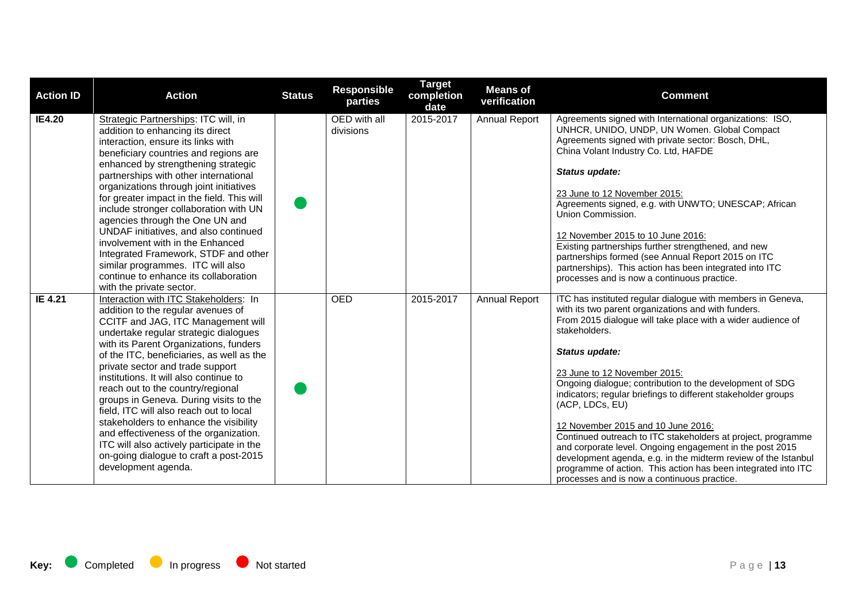| <b>Action ID</b> | <b>Action</b>                                                                                                                                                                                                                                                                                                                                                                                                                                                                                                                                                                                                                                               | <b>Status</b> | <b>Responsible</b><br>parties | <b>Target</b><br>completion<br>date | <b>Means of</b><br>verification | <b>Comment</b>                                                                                                                                                                                                                                                                                                                                                                                                                                                                                                                                                                                                                                                                                                                                           |
|------------------|-------------------------------------------------------------------------------------------------------------------------------------------------------------------------------------------------------------------------------------------------------------------------------------------------------------------------------------------------------------------------------------------------------------------------------------------------------------------------------------------------------------------------------------------------------------------------------------------------------------------------------------------------------------|---------------|-------------------------------|-------------------------------------|---------------------------------|----------------------------------------------------------------------------------------------------------------------------------------------------------------------------------------------------------------------------------------------------------------------------------------------------------------------------------------------------------------------------------------------------------------------------------------------------------------------------------------------------------------------------------------------------------------------------------------------------------------------------------------------------------------------------------------------------------------------------------------------------------|
| <b>IE4.20</b>    | Strategic Partnerships: ITC will, in<br>addition to enhancing its direct<br>interaction, ensure its links with<br>beneficiary countries and regions are<br>enhanced by strengthening strategic<br>partnerships with other international<br>organizations through joint initiatives<br>for greater impact in the field. This will<br>include stronger collaboration with UN<br>agencies through the One UN and<br>UNDAF initiatives, and also continued<br>involvement with in the Enhanced<br>Integrated Framework, STDF and other<br>similar programmes. ITC will also<br>continue to enhance its collaboration<br>with the private sector.                |               | OED with all<br>divisions     | 2015-2017                           | <b>Annual Report</b>            | Agreements signed with International organizations: ISO,<br>UNHCR, UNIDO, UNDP, UN Women. Global Compact<br>Agreements signed with private sector: Bosch, DHL,<br>China Volant Industry Co. Ltd, HAFDE<br>Status update:<br>23 June to 12 November 2015:<br>Agreements signed, e.g. with UNWTO; UNESCAP; African<br>Union Commission.<br>12 November 2015 to 10 June 2016:<br>Existing partnerships further strengthened, and new<br>partnerships formed (see Annual Report 2015 on ITC<br>partnerships). This action has been integrated into ITC<br>processes and is now a continuous practice.                                                                                                                                                        |
| IE 4.21          | Interaction with ITC Stakeholders: In<br>addition to the regular avenues of<br>CCITF and JAG, ITC Management will<br>undertake regular strategic dialogues<br>with its Parent Organizations, funders<br>of the ITC, beneficiaries, as well as the<br>private sector and trade support<br>institutions. It will also continue to<br>reach out to the country/regional<br>groups in Geneva. During visits to the<br>field, ITC will also reach out to local<br>stakeholders to enhance the visibility<br>and effectiveness of the organization.<br>ITC will also actively participate in the<br>on-going dialogue to craft a post-2015<br>development agenda. |               | <b>OED</b>                    | 2015-2017                           | <b>Annual Report</b>            | ITC has instituted regular dialogue with members in Geneva,<br>with its two parent organizations and with funders.<br>From 2015 dialogue will take place with a wider audience of<br>stakeholders.<br>Status update:<br>23 June to 12 November 2015:<br>Ongoing dialogue; contribution to the development of SDG<br>indicators; regular briefings to different stakeholder groups<br>(ACP, LDCs, EU)<br>12 November 2015 and 10 June 2016:<br>Continued outreach to ITC stakeholders at project, programme<br>and corporate level. Ongoing engagement in the post 2015<br>development agenda, e.g. in the midterm review of the Istanbul<br>programme of action. This action has been integrated into ITC<br>processes and is now a continuous practice. |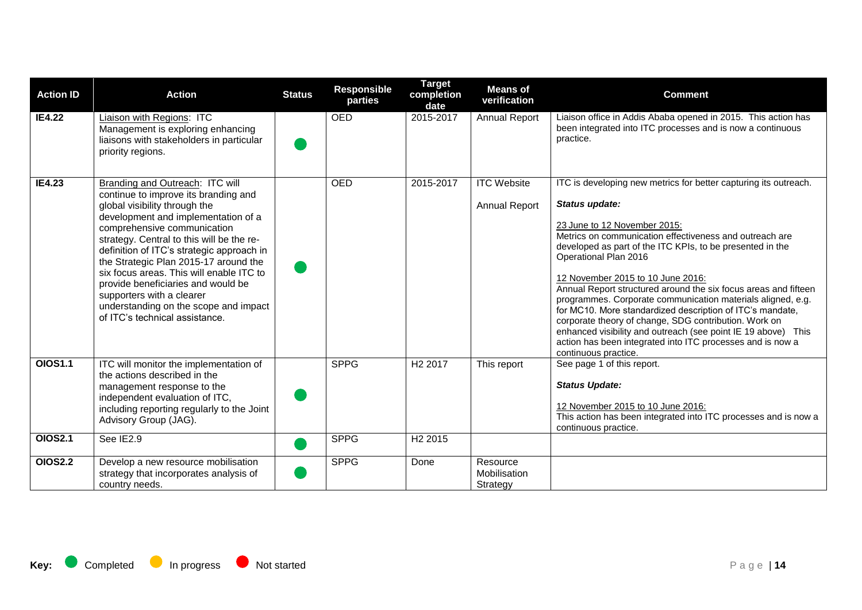| <b>Action ID</b> | <b>Action</b>                                                                                                                                                                                                                                                                                                                                                                                                                                                                                               | <b>Status</b> | <b>Responsible</b><br>parties | <b>Target</b><br>completion<br>date | <b>Means of</b><br>verification            | <b>Comment</b>                                                                                                                                                                                                                                                                                                                                                                                                                                                                                                                                                                                                                                                                                                          |
|------------------|-------------------------------------------------------------------------------------------------------------------------------------------------------------------------------------------------------------------------------------------------------------------------------------------------------------------------------------------------------------------------------------------------------------------------------------------------------------------------------------------------------------|---------------|-------------------------------|-------------------------------------|--------------------------------------------|-------------------------------------------------------------------------------------------------------------------------------------------------------------------------------------------------------------------------------------------------------------------------------------------------------------------------------------------------------------------------------------------------------------------------------------------------------------------------------------------------------------------------------------------------------------------------------------------------------------------------------------------------------------------------------------------------------------------------|
| <b>IE4.22</b>    | Liaison with Regions: ITC<br>Management is exploring enhancing<br>liaisons with stakeholders in particular<br>priority regions.                                                                                                                                                                                                                                                                                                                                                                             |               | <b>OED</b>                    | 2015-2017                           | <b>Annual Report</b>                       | Liaison office in Addis Ababa opened in 2015. This action has<br>been integrated into ITC processes and is now a continuous<br>practice.                                                                                                                                                                                                                                                                                                                                                                                                                                                                                                                                                                                |
| <b>IE4.23</b>    | Branding and Outreach: ITC will<br>continue to improve its branding and<br>global visibility through the<br>development and implementation of a<br>comprehensive communication<br>strategy. Central to this will be the re-<br>definition of ITC's strategic approach in<br>the Strategic Plan 2015-17 around the<br>six focus areas. This will enable ITC to<br>provide beneficiaries and would be<br>supporters with a clearer<br>understanding on the scope and impact<br>of ITC's technical assistance. |               | <b>OED</b>                    | 2015-2017                           | <b>ITC Website</b><br><b>Annual Report</b> | ITC is developing new metrics for better capturing its outreach.<br>Status update:<br>23 June to 12 November 2015:<br>Metrics on communication effectiveness and outreach are<br>developed as part of the ITC KPIs, to be presented in the<br>Operational Plan 2016<br>12 November 2015 to 10 June 2016:<br>Annual Report structured around the six focus areas and fifteen<br>programmes. Corporate communication materials aligned, e.g.<br>for MC10. More standardized description of ITC's mandate,<br>corporate theory of change, SDG contribution. Work on<br>enhanced visibility and outreach (see point IE 19 above) This<br>action has been integrated into ITC processes and is now a<br>continuous practice. |
| OIOS1.1          | ITC will monitor the implementation of<br>the actions described in the<br>management response to the<br>independent evaluation of ITC,<br>including reporting regularly to the Joint<br>Advisory Group (JAG).                                                                                                                                                                                                                                                                                               |               | <b>SPPG</b>                   | H <sub>2</sub> 2017                 | This report                                | See page 1 of this report.<br><b>Status Update:</b><br>12 November 2015 to 10 June 2016:<br>This action has been integrated into ITC processes and is now a<br>continuous practice.                                                                                                                                                                                                                                                                                                                                                                                                                                                                                                                                     |
| <b>OIOS2.1</b>   | See IE2.9                                                                                                                                                                                                                                                                                                                                                                                                                                                                                                   |               | <b>SPPG</b>                   | H <sub>2</sub> 2015                 |                                            |                                                                                                                                                                                                                                                                                                                                                                                                                                                                                                                                                                                                                                                                                                                         |
| <b>OIOS2.2</b>   | Develop a new resource mobilisation<br>strategy that incorporates analysis of<br>country needs.                                                                                                                                                                                                                                                                                                                                                                                                             |               | <b>SPPG</b>                   | Done                                | Resource<br>Mobilisation<br>Strategy       |                                                                                                                                                                                                                                                                                                                                                                                                                                                                                                                                                                                                                                                                                                                         |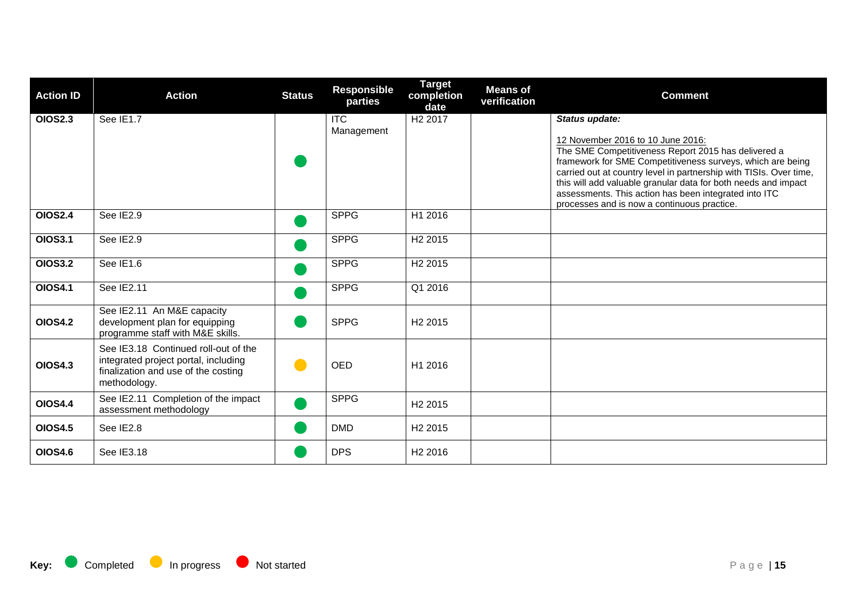| <b>Action ID</b> | <b>Action</b>                                                                                                                       | <b>Status</b> | <b>Responsible</b><br>parties | <b>Target</b><br>completion<br>date | <b>Means of</b><br>verification | <b>Comment</b>                                                                                                                                                                                                                                                                                                                                                                                                           |
|------------------|-------------------------------------------------------------------------------------------------------------------------------------|---------------|-------------------------------|-------------------------------------|---------------------------------|--------------------------------------------------------------------------------------------------------------------------------------------------------------------------------------------------------------------------------------------------------------------------------------------------------------------------------------------------------------------------------------------------------------------------|
| <b>OIOS2.3</b>   | See IE1.7                                                                                                                           |               | <b>ITC</b><br>Management      | H <sub>2</sub> 2017                 |                                 | Status update:<br>12 November 2016 to 10 June 2016:<br>The SME Competitiveness Report 2015 has delivered a<br>framework for SME Competitiveness surveys, which are being<br>carried out at country level in partnership with TISIs. Over time,<br>this will add valuable granular data for both needs and impact<br>assessments. This action has been integrated into ITC<br>processes and is now a continuous practice. |
| <b>OIOS2.4</b>   | See IE2.9                                                                                                                           |               | <b>SPPG</b>                   | H1 2016                             |                                 |                                                                                                                                                                                                                                                                                                                                                                                                                          |
| <b>OIOS3.1</b>   | See IE2.9                                                                                                                           |               | <b>SPPG</b>                   | H <sub>2</sub> 2015                 |                                 |                                                                                                                                                                                                                                                                                                                                                                                                                          |
| <b>OIOS3.2</b>   | See IE1.6                                                                                                                           |               | <b>SPPG</b>                   | H <sub>2</sub> 2015                 |                                 |                                                                                                                                                                                                                                                                                                                                                                                                                          |
| <b>OIOS4.1</b>   | See IE2.11                                                                                                                          |               | <b>SPPG</b>                   | Q1 2016                             |                                 |                                                                                                                                                                                                                                                                                                                                                                                                                          |
| <b>OIOS4.2</b>   | See IE2.11 An M&E capacity<br>development plan for equipping<br>programme staff with M&E skills.                                    |               | <b>SPPG</b>                   | H <sub>2</sub> 2015                 |                                 |                                                                                                                                                                                                                                                                                                                                                                                                                          |
| <b>OIOS4.3</b>   | See IE3.18 Continued roll-out of the<br>integrated project portal, including<br>finalization and use of the costing<br>methodology. |               | <b>OED</b>                    | H1 2016                             |                                 |                                                                                                                                                                                                                                                                                                                                                                                                                          |
| <b>OIOS4.4</b>   | See IE2.11 Completion of the impact<br>assessment methodology                                                                       |               | <b>SPPG</b>                   | H <sub>2</sub> 2015                 |                                 |                                                                                                                                                                                                                                                                                                                                                                                                                          |
| <b>OIOS4.5</b>   | See IE2.8                                                                                                                           |               | <b>DMD</b>                    | H <sub>2</sub> 2015                 |                                 |                                                                                                                                                                                                                                                                                                                                                                                                                          |
| <b>OIOS4.6</b>   | See IE3.18                                                                                                                          |               | <b>DPS</b>                    | H <sub>2</sub> 2016                 |                                 |                                                                                                                                                                                                                                                                                                                                                                                                                          |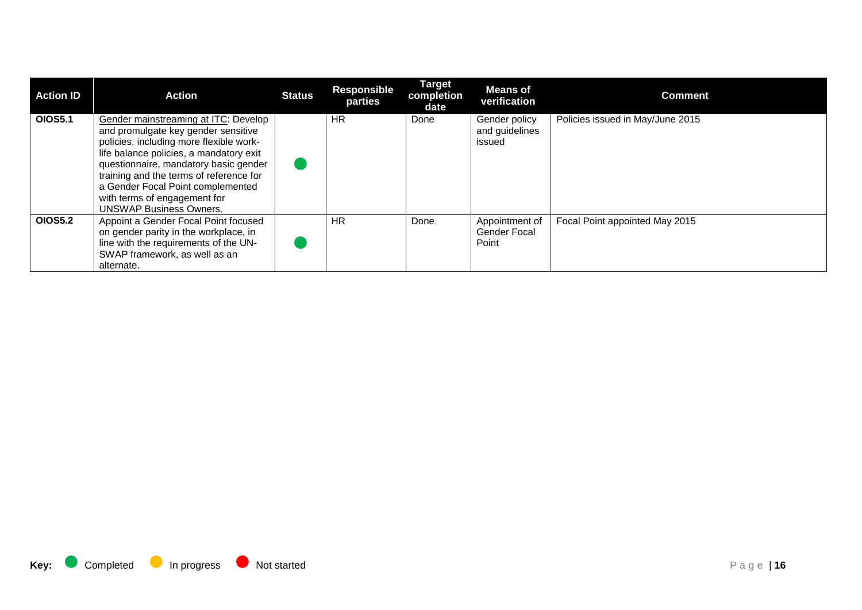| <b>Action ID</b> | Action                                                                                                                                                                                                                                                                                                                                                       | <b>Status</b> | <b>Responsible</b><br>parties | <b>Target</b><br>completion<br>date | <b>Means of</b><br>verification                | <b>Comment</b>                   |
|------------------|--------------------------------------------------------------------------------------------------------------------------------------------------------------------------------------------------------------------------------------------------------------------------------------------------------------------------------------------------------------|---------------|-------------------------------|-------------------------------------|------------------------------------------------|----------------------------------|
| <b>OIOS5.1</b>   | Gender mainstreaming at ITC: Develop<br>and promulgate key gender sensitive<br>policies, including more flexible work-<br>life balance policies, a mandatory exit<br>questionnaire, mandatory basic gender<br>training and the terms of reference for<br>a Gender Focal Point complemented<br>with terms of engagement for<br><b>UNSWAP Business Owners.</b> |               | <b>HR</b>                     | Done                                | Gender policy<br>and guidelines<br>issued      | Policies issued in May/June 2015 |
| <b>OIOS5.2</b>   | Appoint a Gender Focal Point focused<br>on gender parity in the workplace, in<br>line with the requirements of the UN-<br>SWAP framework, as well as an<br>alternate.                                                                                                                                                                                        |               | <b>HR</b>                     | Done                                | Appointment of<br><b>Gender Focal</b><br>Point | Focal Point appointed May 2015   |

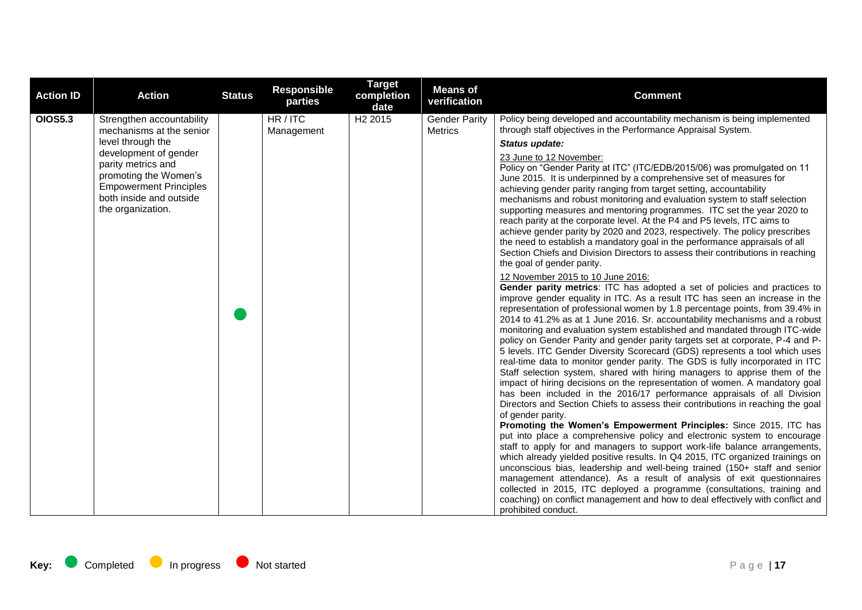| <b>Action ID</b> | <b>Action</b>                                                                                                                                         | <b>Status</b> | <b>Responsible</b><br>parties | <b>Target</b><br>completion<br>date | <b>Means of</b><br>verification        | <b>Comment</b>                                                                                                                                                                                                                                                                                                                                                                                                                                                                                                                                                                                                                                                                                                                                                                                                                                                                                                                                                                                                                                                                                                                                                                                                                                                                                                                                                                                                                                                                                                                                                                                                                                                                                                                                                                                                                                                                                                                                                                                                                                                                                                                                                                                                                                                                                                                                                            |
|------------------|-------------------------------------------------------------------------------------------------------------------------------------------------------|---------------|-------------------------------|-------------------------------------|----------------------------------------|---------------------------------------------------------------------------------------------------------------------------------------------------------------------------------------------------------------------------------------------------------------------------------------------------------------------------------------------------------------------------------------------------------------------------------------------------------------------------------------------------------------------------------------------------------------------------------------------------------------------------------------------------------------------------------------------------------------------------------------------------------------------------------------------------------------------------------------------------------------------------------------------------------------------------------------------------------------------------------------------------------------------------------------------------------------------------------------------------------------------------------------------------------------------------------------------------------------------------------------------------------------------------------------------------------------------------------------------------------------------------------------------------------------------------------------------------------------------------------------------------------------------------------------------------------------------------------------------------------------------------------------------------------------------------------------------------------------------------------------------------------------------------------------------------------------------------------------------------------------------------------------------------------------------------------------------------------------------------------------------------------------------------------------------------------------------------------------------------------------------------------------------------------------------------------------------------------------------------------------------------------------------------------------------------------------------------------------------------------------------------|
| <b>OIOS5.3</b>   | Strengthen accountability<br>mechanisms at the senior                                                                                                 |               | HR / ITC<br>Management        | H <sub>2</sub> 2015                 | <b>Gender Parity</b><br><b>Metrics</b> | Policy being developed and accountability mechanism is being implemented<br>through staff objectives in the Performance Appraisal System.                                                                                                                                                                                                                                                                                                                                                                                                                                                                                                                                                                                                                                                                                                                                                                                                                                                                                                                                                                                                                                                                                                                                                                                                                                                                                                                                                                                                                                                                                                                                                                                                                                                                                                                                                                                                                                                                                                                                                                                                                                                                                                                                                                                                                                 |
|                  | level through the                                                                                                                                     |               |                               |                                     |                                        | Status update:                                                                                                                                                                                                                                                                                                                                                                                                                                                                                                                                                                                                                                                                                                                                                                                                                                                                                                                                                                                                                                                                                                                                                                                                                                                                                                                                                                                                                                                                                                                                                                                                                                                                                                                                                                                                                                                                                                                                                                                                                                                                                                                                                                                                                                                                                                                                                            |
|                  | development of gender<br>parity metrics and<br>promoting the Women's<br><b>Empowerment Principles</b><br>both inside and outside<br>the organization. |               |                               |                                     |                                        | 23 June to 12 November:<br>Policy on "Gender Parity at ITC" (ITC/EDB/2015/06) was promulgated on 11<br>June 2015. It is underpinned by a comprehensive set of measures for<br>achieving gender parity ranging from target setting, accountability<br>mechanisms and robust monitoring and evaluation system to staff selection<br>supporting measures and mentoring programmes. ITC set the year 2020 to<br>reach parity at the corporate level. At the P4 and P5 levels, ITC aims to<br>achieve gender parity by 2020 and 2023, respectively. The policy prescribes<br>the need to establish a mandatory goal in the performance appraisals of all<br>Section Chiefs and Division Directors to assess their contributions in reaching<br>the goal of gender parity.<br>12 November 2015 to 10 June 2016:<br>Gender parity metrics: ITC has adopted a set of policies and practices to<br>improve gender equality in ITC. As a result ITC has seen an increase in the<br>representation of professional women by 1.8 percentage points, from 39.4% in<br>2014 to 41.2% as at 1 June 2016. Sr. accountability mechanisms and a robust<br>monitoring and evaluation system established and mandated through ITC-wide<br>policy on Gender Parity and gender parity targets set at corporate, P-4 and P-<br>5 levels. ITC Gender Diversity Scorecard (GDS) represents a tool which uses<br>real-time data to monitor gender parity. The GDS is fully incorporated in ITC<br>Staff selection system, shared with hiring managers to apprise them of the<br>impact of hiring decisions on the representation of women. A mandatory goal<br>has been included in the 2016/17 performance appraisals of all Division<br>Directors and Section Chiefs to assess their contributions in reaching the goal<br>of gender parity.<br>Promoting the Women's Empowerment Principles: Since 2015, ITC has<br>put into place a comprehensive policy and electronic system to encourage<br>staff to apply for and managers to support work-life balance arrangements,<br>which already yielded positive results. In Q4 2015, ITC organized trainings on<br>unconscious bias, leadership and well-being trained (150+ staff and senior<br>management attendance). As a result of analysis of exit questionnaires<br>collected in 2015, ITC deployed a programme (consultations, training and |
|                  |                                                                                                                                                       |               |                               |                                     |                                        | coaching) on conflict management and how to deal effectively with conflict and<br>prohibited conduct.                                                                                                                                                                                                                                                                                                                                                                                                                                                                                                                                                                                                                                                                                                                                                                                                                                                                                                                                                                                                                                                                                                                                                                                                                                                                                                                                                                                                                                                                                                                                                                                                                                                                                                                                                                                                                                                                                                                                                                                                                                                                                                                                                                                                                                                                     |